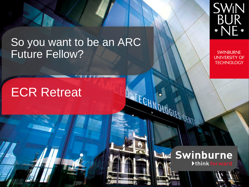# So you want to be an ARC Future Fellow?



**SWINBURNE UNIVERSITY OF TECHNOLOGY** 

# ECR Retreat





JECHNOLOGIES CENTR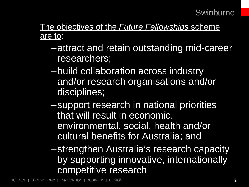The objectives of the *Future Fellowships* scheme are to:

- –attract and retain outstanding mid-career researchers;
- –build collaboration across industry and/or research organisations and/or disciplines;
- –support research in national priorities that will result in economic, environmental, social, health and/or cultural benefits for Australia; and

–strengthen Australia's research capacity by supporting innovative, internationally competitive research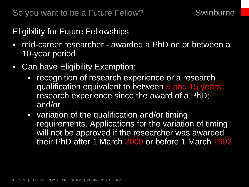Eligibility for Future Fellowships

- mid-career researcher awarded a PhD on or between a 10-year period
- Can have Eligibility Exemption:
	- recognition of research experience or a research qualification equivalent to between 5 and 15 years research experience since the award of a PhD; and/or
	- variation of the qualification and/or timing requirements. Applications for the variation of timing will not be approved if the researcher was awarded their PhD after 1 March 2009 or before 1 March 1992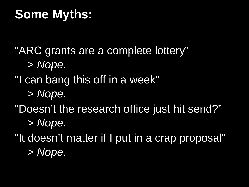# **Some Myths:**

"ARC grants are a complete lottery"

> *Nope.*

# "I can bang this off in a week"

- > *Nope.*
- "Doesn't the research office just hit send?"
	- > *Nope.*

"It doesn't matter if I put in a crap proposal" > *Nope.*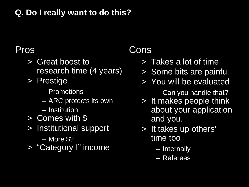### **Q. Do I really want to do this?**

# Pros

- > Great boost to research time (4 years)
- > Prestige
	- Promotions
	- ARC protects its own
	- Institution
- > Comes with \$
- > Institutional support
	- More \$?
- > "Category I" income

# Cons

- > Takes a lot of time
- > Some bits are painful
- > You will be evaluated
	- Can you handle that?
- > It makes people think about your application and you.
- > It takes up others' time too
	- Internally
	- Referees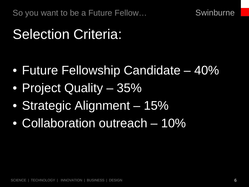So you want to be a Future Fellow…

**Swinburne** 

# Selection Criteria:

- Future Fellowship Candidate 40%
- Project Quality 35%
- Strategic Alignment 15%
- Collaboration outreach 10%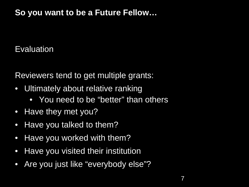## **So you want to be a Future Fellow…**

## Evaluation

Reviewers tend to get multiple grants:

- Ultimately about relative ranking
	- You need to be "better" than others
- Have they met you?
- Have you talked to them?
- Have you worked with them?
- Have you visited their institution
- Are you just like "everybody else"?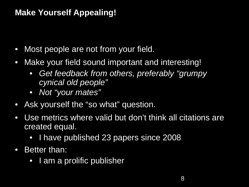## **Make Yourself Appealing!**

- Most people are not from your field.
- Make your field sound important and interesting!
	- *Get feedback from others, preferably "grumpy cynical old people"*
	- *Not "your mates"*
- Ask yourself the "so what" question.
- Use metrics where valid but don't think all citations are created equal.
	- I have published 23 papers since 2008
- Better than:
	- I am a prolific publisher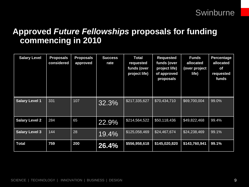### **Approved** *Future Fellowships* **proposals for funding commencing in 2010**

| <b>Salary Level</b>   | <b>Proposals</b><br>considered | <b>Proposals</b><br>approved | <b>Success</b><br>rate | <b>Total</b><br>requested<br>funds (over<br>project life) | <b>Requested</b><br>funds (over<br>project life)<br>of approved<br>proposals | <b>Funds</b><br>allocated<br>(over project<br>life) | <b>Percentage</b><br>allocated<br><b>of</b><br>requested<br>funds |
|-----------------------|--------------------------------|------------------------------|------------------------|-----------------------------------------------------------|------------------------------------------------------------------------------|-----------------------------------------------------|-------------------------------------------------------------------|
| <b>Salary Level 1</b> | 331                            | 107                          | 32.3%                  | \$217,335,627                                             | \$70,434,710                                                                 | \$69,700,004                                        | 99.0%                                                             |
| <b>Salary Level 2</b> | 284                            | 65                           | 22.9%                  | \$214,564,522                                             | \$50,118,436                                                                 | \$49,822,468                                        | 99.4%                                                             |
| <b>Salary Level 3</b> | 144                            | 28                           | 19.4%                  | \$125,058,469                                             | \$24,467,674                                                                 | \$24,238,469                                        | 99.1%                                                             |
| <b>Total</b>          | 759                            | 200                          | $26.4\%$               | \$556,958,618                                             | \$145,020,820                                                                | \$143,760,941                                       | 99.1%                                                             |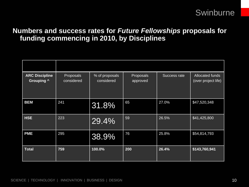### **Numbers and success rates for** *Future Fellowships* **proposals for funding commencing in 2010, by Disciplines**

| <b>ARC Discipline</b><br><b>Grouping ^</b> | Proposals<br>considered | % of proposals<br>considered | Proposals<br>approved | Success rate | Allocated funds<br>(over project life) |
|--------------------------------------------|-------------------------|------------------------------|-----------------------|--------------|----------------------------------------|
| <b>BEM</b>                                 | 241                     | 31.8%                        | 65                    | 27.0%        | \$47,520,348                           |
| <b>HSE</b>                                 | 223                     | 29.4%                        | 59                    | 26.5%        | \$41,425,800                           |
| <b>PME</b>                                 | 295                     | 38.9%                        | 76                    | 25.8%        | \$54,814,793                           |
| <b>Total</b>                               | 759                     | 100.0%                       | 200                   | 26.4%        | \$143,760,941                          |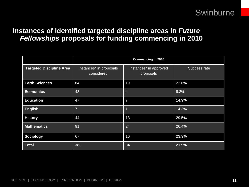### **Instances of identified targeted discipline areas in** *Future Fellowships* **proposals for funding commencing in 2010**

|                                 | <b>Commencing in 2010</b>             |                                     |              |  |  |  |
|---------------------------------|---------------------------------------|-------------------------------------|--------------|--|--|--|
| <b>Targeted Discipline Area</b> | Instances* in proposals<br>considered | Instances* in approved<br>proposals | Success rate |  |  |  |
| <b>Earth Sciences</b>           | 84                                    | 19                                  | 22.6%        |  |  |  |
| <b>Economics</b>                | 43                                    | 4                                   | 9.3%         |  |  |  |
| <b>Education</b>                | 47                                    | $\overline{7}$                      | 14.9%        |  |  |  |
| <b>English</b>                  | $\overline{7}$                        | $\overline{1}$                      | 14.3%        |  |  |  |
| <b>History</b>                  | 44                                    | 13                                  | 29.5%        |  |  |  |
| <b>Mathematics</b>              | 91                                    | 24                                  | 26.4%        |  |  |  |
| <b>Sociology</b>                | 67                                    | 16                                  | 23.9%        |  |  |  |
| <b>Total</b>                    | 383                                   | 84                                  | 21.9%        |  |  |  |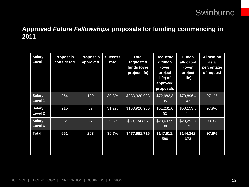### **Approved** *Future Fellowships* **proposals for funding commencing in 2011**

| <b>Salary</b><br>Level          | <b>Proposals</b><br>considered | <b>Proposals</b><br>approved | <b>Success</b><br>rate | <b>Total</b><br>requested<br>funds (over<br>project life) | <b>Requeste</b><br>d funds<br>(over<br>project<br>life) of<br>approved<br>proposals | <b>Funds</b><br>allocated<br>(over<br>project<br>life) | <b>Allocation</b><br>as a<br>percentage<br>of request |
|---------------------------------|--------------------------------|------------------------------|------------------------|-----------------------------------------------------------|-------------------------------------------------------------------------------------|--------------------------------------------------------|-------------------------------------------------------|
| <b>Salary</b><br><b>Level 1</b> | 354                            | 109                          | 30.8%                  | \$233,320,003                                             | \$72,982,3<br>95                                                                    | \$70,896,4<br>43                                       | 97.1%                                                 |
| <b>Salary</b><br>Level 2        | 215                            | 67                           | 31.2%                  | \$163,926,906                                             | \$51,231,6<br>93                                                                    | \$50,153,5<br>11                                       | 97.9%                                                 |
| <b>Salary</b><br>Level 3        | 92                             | 27                           | 29.3%                  | \$80,734,807                                              | \$23,697,5<br>08                                                                    | \$23,292,7<br>19                                       | 98.3%                                                 |
| <b>Total</b>                    | 661                            | 203                          | 30.7%                  | \$477,981,716                                             | \$147,911,<br>596                                                                   | \$144,342,<br>673                                      | 97.6%                                                 |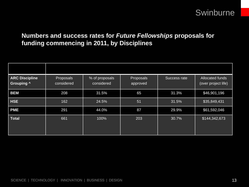### **Numbers and success rates for** *Future Fellowships* **proposals for funding commencing in 2011, by Disciplines**

| <b>ARC Discipline</b><br><b>Grouping ^</b> | Proposals<br>considered | % of proposals<br>considered | Proposals<br>approved | Success rate | Allocated funds<br>(over project life) |
|--------------------------------------------|-------------------------|------------------------------|-----------------------|--------------|----------------------------------------|
| <b>BEM</b>                                 | 208                     | 31.5%                        | 65                    | 31.3%        | \$46,901,196                           |
| <b>HSE</b>                                 | 162                     | 24.5%                        | 51                    | 31.5%        | \$35,849,431                           |
| <b>PME</b>                                 | 291                     | 44.0%                        | 87                    | 29.9%        | \$61,592,046                           |
| <b>Total</b>                               | 661                     | 100%                         | 203                   | 30.7%        | \$144,342,673                          |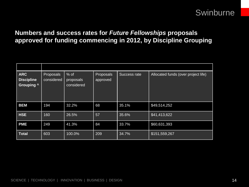### **Numbers and success rates for** *Future Fellowships* **proposals approved for funding commencing in 2012, by Discipline Grouping**

| <b>ARC</b><br><b>Discipline</b><br><b>Grouping ^</b> | Proposals<br>considered | $%$ of<br>proposals<br>considered | Proposals<br>approved | Success rate | Allocated funds (over project life) |
|------------------------------------------------------|-------------------------|-----------------------------------|-----------------------|--------------|-------------------------------------|
| <b>BEM</b>                                           | 194                     | 32.2%                             | 68                    | 35.1%        | \$49,514,252                        |
| <b>HSE</b>                                           | 160                     | 26.5%                             | 57                    | 35.6%        | \$41,413,622                        |
| <b>PME</b>                                           | 249                     | 41.3%                             | 84                    | 33.7%        | \$60,631,393                        |
| <b>Total</b>                                         | 603                     | 100.0%                            | 209                   | 34.7%        | \$151,559,267                       |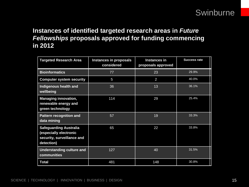### **Instances of identified targeted research areas in** *Future Fellowships* **proposals approved for funding commencing in 2012**

| <b>Targeted Research Area</b>                                                                       | <b>Instances in proposals</b><br>considered | <b>Instances in</b><br>proposals approved | <b>Success rate</b> |
|-----------------------------------------------------------------------------------------------------|---------------------------------------------|-------------------------------------------|---------------------|
| <b>Bioinformatics</b>                                                                               | 77                                          | 23                                        | 29.9%               |
| <b>Computer system security</b>                                                                     | 5                                           | 2                                         | 40.0%               |
| Indigenous health and<br>wellbeing                                                                  | 36                                          | 13                                        | 36.1%               |
| <b>Managing innovation,</b><br>renewable energy and<br>green technology                             | 114                                         | 29                                        | 25.4%               |
| <b>Pattern recognition and</b><br>data mining                                                       | 57                                          | 19                                        | 33.3%               |
| <b>Safeguarding Australia</b><br>(especially electronic<br>security, surveillance and<br>detection) | 65                                          | 22                                        | 33.8%               |
| Understanding culture and<br>communities                                                            | 127                                         | 40                                        | 31.5%               |
| <b>Total</b>                                                                                        | 481                                         | 148                                       | 30.8%               |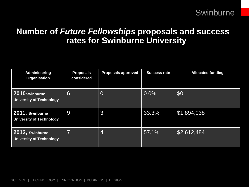### **Number of** *Future Fellowships* **proposals and success rates for Swinburne University**

| <b>Administering</b><br><b>Organisation</b>        | <b>Proposals</b><br>considered | <b>Proposals approved</b> | <b>Success rate</b> | <b>Allocated funding</b> |
|----------------------------------------------------|--------------------------------|---------------------------|---------------------|--------------------------|
| 2010Swinburne<br><b>University of Technology</b>   | 6                              | $\overline{0}$            | $0.0\%$             | \$0                      |
| 2011, Swinburne<br><b>University of Technology</b> | 9                              | 3                         | 33.3%               | \$1,894,038              |
| 2012, Swinburne<br><b>University of Technology</b> | $\overline{7}$                 | 4                         | 57.1%               | \$2,612,484              |

SCIENCE | TECHNOLOGY | INNOVATION | BUSINESS | DESIGN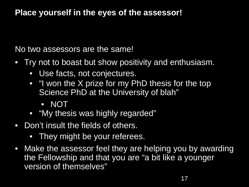### **Place yourself in the eyes of the assessor!**

No two assessors are the same!

- Try not to boast but show positivity and enthusiasm.
	- Use facts, not conjectures.
	- "I won the X prize for my PhD thesis for the top Science PhD at the University of blah"
		- NOT
	- "My thesis was highly regarded"
- Don't insult the fields of others.
	- They might be your referees.
- Make the assessor feel they are helping you by awarding the Fellowship and that you are "a bit like a younger version of themselves"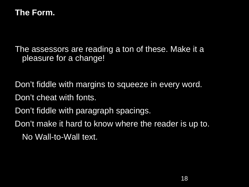### **The Form.**

The assessors are reading a ton of these. Make it a pleasure for a change!

Don't fiddle with margins to squeeze in every word.

- Don't cheat with fonts.
- Don't fiddle with paragraph spacings.

Don't make it hard to know where the reader is up to. No Wall-to-Wall text.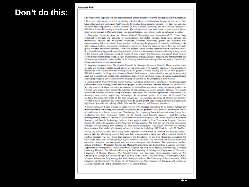#### **Attached PDF**

**Don't do this:**

#### C6: Evidence of capacity to build collaborations across industry/research institutions/other disciplines.

I have been extensively involved in building interdisciplinary collaborations throughout my career from large integrated and mid-sized R&D projects to smaller basic research projects. To date the activities occurred when employed as a Senior Scientist at Riso National Laboratory and as Associate Professor at (NANO at Aarbus University both in Denmark. The collaborations have been based on joint projects funded from various sources in Denmark where I was project leader or joint project leader on initiatives including:

1) Innovation Consortia from the Danish Council Technology and Innovation (RTI). These large collaborative projects are designed to dissemination knowledge between researchers, national and international research and educational institutions, advanced technology groups, and industries who complementary fields of interest. I was involved in designing the programs of research, establishing links with industry partners, negotiating collaborative agreements between partners, and writing the successful grants for three innovation consortia. I was also Project Leader in three other impountion consortia when I first joined Riso adding much needed expertise in surface and biointerface science facilitating stronger focus to the projects and generating scientific results of high impact. The Industries involved in these projects covered many sectors from health, energy, plastic manufacturing, consumer products, and entertainment. For all innovation consortia I was member of the Steering Committees helping define the project direction and future initiatives involving the partners.

2) Integrated projects from The Danish Council for Strategic Research Council. These medium sized projects are problem oriented airned across several disciplines with industry partners. I was involved in discussions with collaborators and writing successful grants to obtain funding for two of these projects at (NANO, funded in the Program on Strategic Growth Technologies. I established the strategy for integrating nano and biotechnology aspects into a multidisciplinary project involving surface scientists, microbiologists and helping integrate test facilities into the production facilities of the companies in both projects.

3) Joint Research project from the Danish National Advanced Technology Foundation. I was Project leader and member of the Steering committee for the project 'NanoNonwovens' between Fibertex A/S and iNANO. My role was to introduce and integrate concepts of nanotechnology into existing commercial products of Fibertex A/S helping them exploit the potential of nanotechnology in new markets. Fibertex very rapidly established business activities using electrospun nanofibres for filtration applications. The project also developed new surface engineering technologies for nonwoven textiles to be used for Personal Care products. Pre-production trials of the new technologies are currently underway at Proctor and Gamble, Fibertex's major customer. The activities have led to several patent applications, numerous publications in high impact journals, and training of BSc, MSc and PhD students, and Research Associates.

4) Other initiatives. I have worked on other Projects with strategic importance to the field of surface and interface science introducing new concepts to industrial related problems. This includes the Research Project in food sector in a future perspective, 'Antifouling fish - reducing bacterial contamination during food production and food processing' funded by the Danish Food Industry Agency. I lead the surface nanoengineering aspects of the project which involved microbiologists at the Danish Institute for Fisheries Research, and Danish Technology Institute. I was project leader at Risa Framework Program 'Interface Design of Composite Materials' where Rise was the lead institute. My role was to bring new nanoscience concepts into developing new surfaces for fibre based composites. The project involved two research departments at Riso, Aalborg University and several Industries, including NKT Flexibles, and LM Glasfiber.

Finally, my initiatives have led to many other important collaborations in Denmark and Internationally. I have a skill for identifying experts that have both complementary skills that add significant benefit to existing projects, but also those that challenge the boundaries of my own discipline, expanding the knowledge based and facilitating high impact research outcomes. The collaborations include those with molecular biologists, immunologists, cell and microbiologists, and clinicians. The institutions involved include Institutes of Molecular Biology and Medical Microbiology and Immunology at Aarhus University; Department of Orthopeadies, Aarhus University Hospital; the Institute of Medical Microbiology at Odense University Hospital; The School of Pharmacy at the University of Nottingham, Department of Chemistry, University of Illinois, Chicago; The Nanotechnology and Integrated Bioengineering Centre at The University of Ulster; CNR Institute of Optics in Pisa; NESAC/BIO at The University of Washington, CSIRO Materials Science and Engineering; lan Wark Research Institute, The University of South Australia; AIBN University of Queensland; The Centre of Cell Engineering at The University of Glasgow; and Institute of Macromolecular and Textile Chemistry, RWTH Aachen, Germany,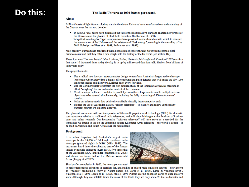### **Do this:**

#### The Radio Universe at 1000 frames per second.

#### Aims:

Brilliant bursts of light from exploding stars in the distant Universe have transformed our understanding of the Cosmos over the last two decades:

- In gamma-rays, bursts have elucidated the fate of the most massive stars and enabled new probes of the Universe and the physics of black hole formation (Kulkarni et al. 1998).
	- At optical wavelengths, Type Ia supernovae have provided standard candles with which to measure the acceleration of the Universe and the existence of "dark energy", resulting in the awarding of the 2011 Nobel prize (Riess et al. 1998, Perlmutter et al. 1999).

Most recently, our team has confirmed that a population of coherent *radio bursts* from cosmological distances exist and that they offer a new insight into the history of the Universe (see section D2).

These four new "Lorimer bursts" (after Lorimer, Bailes, Narkevic, McLaughlin & Crawford 2007) confirm that some 10 thousand times a day the sky is lit up by millisecond-duration radio flashes from billions of light years away.

This project aims to:

- Use a radical new low-cost supercomputer design to transform Australia's largest radio telescope (Molonglo Observatory) into a highly efficient burst and pulse detector that will image the sky 1000 times per second and discover a Lorimer burst every few days.
- Use the Lorimer bursts to perform the first detailed study of the ionized *intergalactic* medium, in effect "weighing" the normal matter content of the Universe.
- Create a unique software correlator to parallel process the voltage data to enable multiple science objectives to be pursued simultaneously, including the daily monitoring of 500 neutron stars' rotation.
- Make our science-ready data publically available virtually instantaneously, and:
- Pioneer the use of Australian data by "citizen scientists" to classify and follow up the many ٠ transient sources we expect to uncover.

The planned instrument will use inexpensive off-the-shelf graphics card technology (GPU) for dramatic cost reductions relative to traditional radio telescopes, and will place Molonglo at the forefront of Lorimer burst and pulsar research. Our inexpensive "software telescope" will also serve as a test-bed for the techniques we intend to use on the upcoming Square Kilometer Array telescope – the world's largest – to be built in Australia and South Africa over the next decade.

#### **Background:**

It is often forgotten that Australia's largest radio telescope is the  $18,000 \text{ m}^2$  Molonglo synthesis radio telescope (pictured right) in NSW (Mills 1981). The instrument has 6 times the collecting area of the famous Parkes 64m radio telescope (Kerr 1959), five times that of the Australian SKA Pathfinder (Johnston et al 2008) and almost ten times that of the Mileura Wide-field Array (Tingay et al 2012).

Shortly after completion in 1967, the telescope was used



to make tremendous advances in searches for, and studies of pulsed radio emission sources - now known as "pulsars" producing a flurry of Nature papers e.g. Large et al (1968), Large & Vaughan (1968), Vaughan et al (1969), Large et al (1969), Mills (1969). Pulsars are the collapsed cores of once-massive stars. Although they are 500,000 times the mass of the Earth they are only some 20 km in diameter and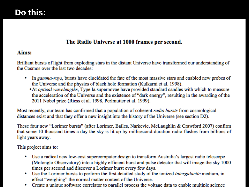### The Radio Universe at 1000 frames per second.

### Aims:

Brilliant bursts of light from exploding stars in the distant Universe have transformed our understanding of the Cosmos over the last two decades:

- In gamma-rays, bursts have elucidated the fate of the most massive stars and enabled new probes of ۰ the Universe and the physics of black hole formation (Kulkarni et al. 1998).
	- At optical wavelengths, Type Ia supernovae have provided standard candles with which to measure the acceleration of the Universe and the existence of "dark energy", resulting in the awarding of the 2011 Nobel prize (Riess et al. 1998, Perlmutter et al. 1999).

Most recently, our team has confirmed that a population of coherent *radio bursts* from cosmological distances exist and that they offer a new insight into the history of the Universe (see section D2).

These four new "Lorimer bursts" (after Lorimer, Bailes, Narkevic, McLaughlin & Crawford 2007) confirm that some 10 thousand times a day the sky is lit up by millisecond-duration radio flashes from billions of light years away.

This project aims to:

- Use a radical new low-cost supercomputer design to transform Australia's largest radio telescope (Molonglo Observatory) into a highly efficient burst and pulse detector that will image the sky 1000 times per second and discover a Lorimer burst every few days.
- $\bullet$  $\overline{1}$ effect "weighing" the normal matter content of the Universe.
- Create a unique software correlator to parallel process the voltage data to enable multiple science ٠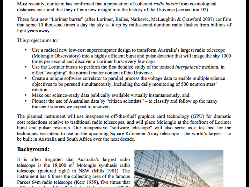Most recently, our team has confirmed that a population of coherent *radio bursts* from cosmological distances exist and that they offer a new insight into the history of the Universe (see section D2).<br>These four new "Lorimer bursts" (after Lorimer, Bailes, Narkevic, McLaughlin & Crawford 2007) confirm

that some 10 thousand times a day the sky is lit up by millisecond-duration radio flashes from billions of light years away.

This project aims to:

- Use a radical new low-cost supercomputer design to transform Australia's largest radio telescope (Molonglo Observatory) into a highly efficient burst and pulse detector that will image the sky 1000 times per second and discover a Lorimer burst every few days.
- Use the Lorimer bursts to perform the first detailed study of the ionized *intergalactic* medium, in effect "weighing" the normal matter content of the Universe.
- Create a unique software correlator to parallel process the voltage data to enable multiple science ۰ objectives to be pursued simultaneously, including the daily monitoring of 500 neutron stars' rotation.
- Make our science-ready data publically available virtually instantaneously, and: ٠
- Pioneer the use of Australian data by "citizen scientists" to classify and follow up the many ۰ transient sources we expect to uncover.

The planned instrument will use inexpensive off-the-shelf graphics card technology (GPU) for dramatic cost reductions relative to traditional radio telescopes, and will place Molonglo at the forefront of Lorimer burst and pulsar research. Our inexpensive "software telescope" will also serve as a test-bed for the techniques we intend to use on the upcoming Square Kilometer Array telescope – the world's largest – to be built in Australia and South Africa over the next decade.

### **Background:**

It is often forgotten that Australia's largest radio telescope is the  $18,000 \text{ m}^2$  Molonglo synthesis radio telescope (pictured right) in NSW (Mills 1981). The instrument has 6 times the collecting area of the famous Parkes 64m radio telescope (Kerr 1959), five times that  $\alpha$ ,  $\alpha$ ,  $\alpha$ ,  $\alpha$ ,  $\alpha$ ,  $\alpha$ ,  $\alpha$ ,  $\alpha$ ,  $\alpha$ ,  $\alpha$ ,  $\alpha$ ,  $\alpha$ ,  $\alpha$ ,  $\alpha$ ,  $\alpha$ ,  $\alpha$ ,  $\alpha$ ,  $\alpha$ ,  $\alpha$ ,  $\alpha$ ,  $\alpha$ ,  $\alpha$ ,  $\alpha$ ,  $\alpha$ ,  $\alpha$ ,  $\alpha$ ,  $\alpha$ ,  $\alpha$ ,  $\alpha$ ,  $\alpha$ ,  $\alpha$ ,  $\alpha$ ,  $\alpha$ ,  $\alpha$ ,  $\alpha$ ,  $\alpha$ ,  $\alpha$ ,

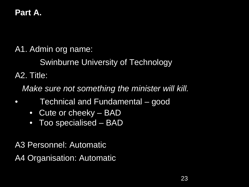# **Part A.**

A1. Admin org name:

Swinburne University of Technology

A2. Title:

*Make sure not something the minister will kill.*

- Technical and Fundamental good
	- Cute or cheeky BAD
	- Too specialised BAD

A3 Personnel: Automatic A4 Organisation: Automatic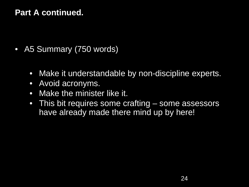### **Part A continued.**

- A5 Summary (750 words)
	- Make it understandable by non-discipline experts.
	- Avoid acronyms.
	- Make the minister like it.
	- This bit requires some crafting some assessors have already made there mind up by here!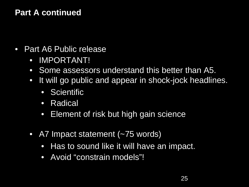### **Part A continued**

- Part A6 Public release
	- IMPORTANT!
	- Some assessors understand this better than A5.
	- It will go public and appear in shock-jock headlines.
		- Scientific
		- Radical
		- Element of risk but high gain science
	- A7 Impact statement (~75 words)
		- Has to sound like it will have an impact.
		- Avoid "constrain models"!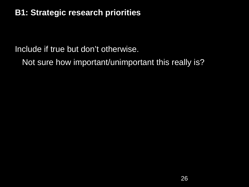### **B1: Strategic research priorities**

Include if true but don't otherwise.

Not sure how important/unimportant this really is?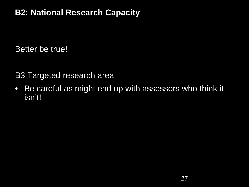## **B2: National Research Capacity**

Better be true!

B3 Targeted research area

• Be careful as might end up with assessors who think it isn't!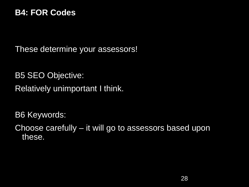### **B4: FOR Codes**

These determine your assessors!

B5 SEO Objective: Relatively unimportant I think.

B6 Keywords:

Choose carefully – it will go to assessors based upon these.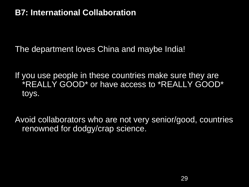### **B7: International Collaboration**

The department loves China and maybe India!

If you use people in these countries make sure they are \*REALLY GOOD\* or have access to \*REALLY GOOD\* toys.

Avoid collaborators who are not very senior/good, countries renowned for dodgy/crap science.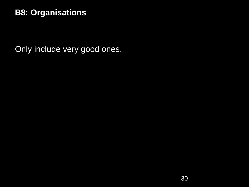### **B8: Organisations**

Only include very good ones.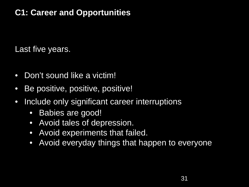# **C1: Career and Opportunities**

Last five years.

- Don't sound like a victim!
- Be positive, positive, positive!
- Include only significant career interruptions
	- Babies are good!
	- Avoid tales of depression.
	- Avoid experiments that failed.
	- Avoid everyday things that happen to everyone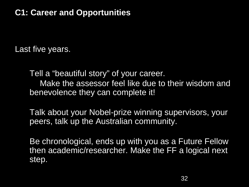## **C1: Career and Opportunities**

Last five years.

Tell a "beautiful story" of your career. Make the assessor feel like due to their wisdom and benevolence they can complete it!

Talk about your Nobel-prize winning supervisors, your peers, talk up the Australian community.

Be chronological, ends up with you as a Future Fellow then academic/researcher. Make the FF a logical next step.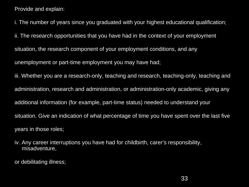Provide and explain:

ii. The research opportunities that you have had in the context of your employment i. The number of years since you graduated with your highest educational qualification; situation, the research component of your employment conditions, and any unemployment or part-time employment you may have had; iii. Whether you are a research-only, teaching and research, teaching-only, teaching and administration, research and administration, or administration-only academic, giving any additional information (for example, part-time status) needed to understand your situation. Give an indication of what percentage of time you have spent over the last five years in those roles;

iv. Any career interruptions you have had for childbirth, carer's responsibility, misadventure,

or debilitating illness;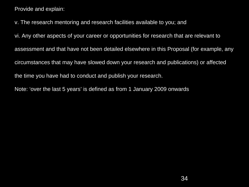Provide and explain:

v. The research mentoring and research facilities available to you; and

vi. Any other aspects of your career or opportunities for research that are relevant to assessment and that have not been detailed elsewhere in this Proposal (for example, any circumstances that may have slowed down your research and publications) or affected the time you have had to conduct and publish your research.

Note: 'over the last 5 years' is defined as from 1 January 2009 onwards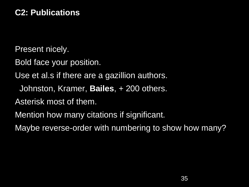### **C2: Publications**

Present nicely.

Bold face your position.

Use et al.s if there are a gazillion authors.

Johnston, Kramer, **Bailes**, + 200 others.

Asterisk most of them.

Mention how many citations if significant.

Maybe reverse-order with numbering to show how many?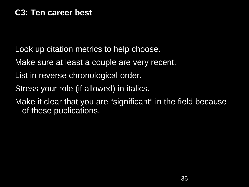Look up citation metrics to help choose.

Make sure at least a couple are very recent.

- List in reverse chronological order.
- Stress your role (if allowed) in italics.

Make it clear that you are "significant" in the field because of these publications.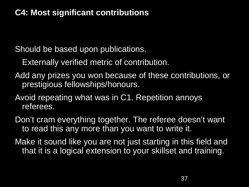### **C4: Most significant contributions**

Should be based upon publications.

Externally verified metric of contribution.

- Add any prizes you won because of these contributions, or prestigious fellowships/honours.
- Avoid repeating what was in C1. Repetition annoys referees.
- Don't cram everything together. The referee doesn't want to read this any more than you want to write it.
- Make it sound like you are not just starting in this field and that it is a logical extension to your skillset and training.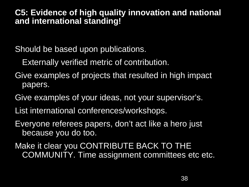### **C5: Evidence of high quality innovation and national and international standing!**

Should be based upon publications.

Externally verified metric of contribution.

- Give examples of projects that resulted in high impact papers.
- Give examples of your ideas, not your supervisor's.
- List international conferences/workshops.
- Everyone referees papers, don't act like a hero just because you do too.
- Make it clear you CONTRIBUTE BACK TO THE COMMUNITY. Time assignment committees etc etc.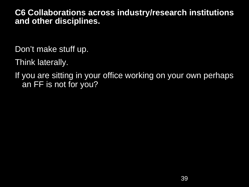### **C6 Collaborations across industry/research institutions and other disciplines.**

Don't make stuff up.

Think laterally.

If you are sitting in your office working on your own perhaps an FF is not for you?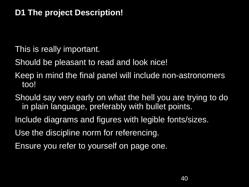## **D1 The project Description!**

This is really important.

Should be pleasant to read and look nice!

Keep in mind the final panel will include non-astronomers too!

Should say very early on what the hell you are trying to do in plain language, preferably with bullet points.

- Include diagrams and figures with legible fonts/sizes.
- Use the discipline norm for referencing.
- Ensure you refer to yourself on page one.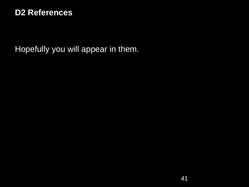### **D2 References**

Hopefully you will appear in them.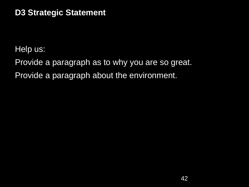### **D3 Strategic Statement**

Help us:

Provide a paragraph as to why you are so great. Provide a paragraph about the environment.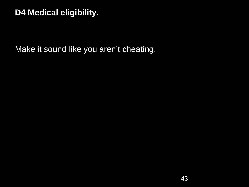### **D4 Medical eligibility.**

Make it sound like you aren't cheating.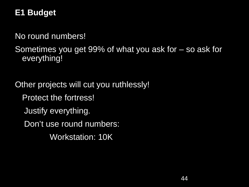# **E1 Budget**

 $N<sub>0</sub>$  roughly No round numbers!

Sometimes you get 99% of what you ask for – so ask for everything!

Other projects will cut you ruthlessly! Protect the fortress! Justify everything. Don't use round numbers: Workstation: 10K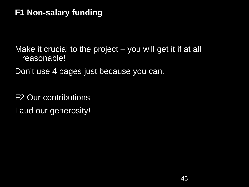## **F1 Non-salary funding**

Make it crucial to the project – you will get it if at all reasonable!

Don't use 4 pages just because you can.

F2 Our contributions Laud our generosity!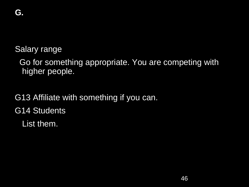Salary range

Go for something appropriate. You are competing with higher people.

G13 Affiliate with something if you can.

G14 Students

List them.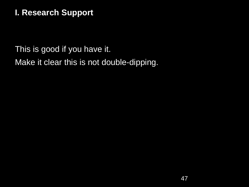## **I. Research Support**

This is good if you have it. Make it clear this is not double-dipping.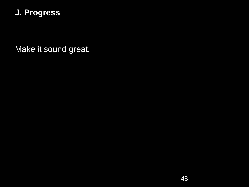### **J. Progress**

Make it sound great.